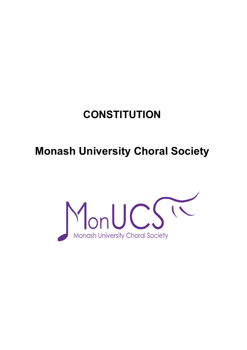# **CONSTITUTION**

# **Monash University Choral Society**

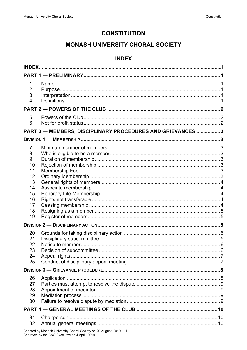# **CONSTITUTION**

# **MONASH UNIVERSITY CHORAL SOCIETY**

# **INDEX**

<span id="page-1-0"></span>

| <b>INDEX.</b>                              |                                                             |  |
|--------------------------------------------|-------------------------------------------------------------|--|
|                                            |                                                             |  |
| 1<br>$\overline{2}$<br>3<br>$\overline{4}$ |                                                             |  |
|                                            |                                                             |  |
| 5<br>6                                     | PART 3 - MEMBERS, DISCIPLINARY PROCEDURES AND GRIEVANCES  3 |  |
|                                            |                                                             |  |
|                                            |                                                             |  |
| 7<br>8<br>9                                |                                                             |  |
| 10                                         |                                                             |  |
| 11                                         |                                                             |  |
| 12<br>13                                   |                                                             |  |
| 14                                         |                                                             |  |
| 15                                         |                                                             |  |
| 16                                         |                                                             |  |
| 17                                         |                                                             |  |
| 18                                         |                                                             |  |
| 19                                         |                                                             |  |
|                                            |                                                             |  |
| 20                                         |                                                             |  |
| 21                                         |                                                             |  |
| 22<br>23                                   |                                                             |  |
| 24                                         | Appeal rights                                               |  |
| 25                                         |                                                             |  |
|                                            |                                                             |  |
| 26                                         |                                                             |  |
| 27                                         |                                                             |  |
| 28                                         |                                                             |  |
| 29                                         |                                                             |  |
| 30                                         |                                                             |  |
|                                            |                                                             |  |
| 31                                         |                                                             |  |
| 32                                         |                                                             |  |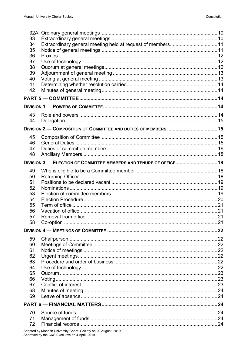| 33       |                                                                    |  |
|----------|--------------------------------------------------------------------|--|
| 34       | Extraordinary general meeting held at request of members 11        |  |
| 35       |                                                                    |  |
| 36       |                                                                    |  |
| 37       |                                                                    |  |
| 38       |                                                                    |  |
| 39       |                                                                    |  |
| 40       |                                                                    |  |
| 41       |                                                                    |  |
| 42       |                                                                    |  |
|          |                                                                    |  |
|          |                                                                    |  |
| 43       |                                                                    |  |
| 44       |                                                                    |  |
|          | DIVISION 2 — COMPOSITION OF COMMITTEE AND DUTIES OF MEMBERS  15    |  |
| 45       |                                                                    |  |
| 46       |                                                                    |  |
| 47       |                                                                    |  |
| 48       |                                                                    |  |
|          | DIVISION 3 - ELECTION OF COMMITTEE MEMBERS AND TENURE OF OFFICE 18 |  |
| 49       |                                                                    |  |
| 50       |                                                                    |  |
| 51       |                                                                    |  |
| 52       |                                                                    |  |
| 53       |                                                                    |  |
| 54       |                                                                    |  |
| 55       |                                                                    |  |
| 56       |                                                                    |  |
| 57       |                                                                    |  |
| 58       |                                                                    |  |
|          |                                                                    |  |
|          |                                                                    |  |
| 59       |                                                                    |  |
| 60       |                                                                    |  |
| 61<br>62 |                                                                    |  |
| 63       |                                                                    |  |
|          |                                                                    |  |
|          |                                                                    |  |
| 64       |                                                                    |  |
| 65       |                                                                    |  |
| 66       |                                                                    |  |
| 67       |                                                                    |  |
| 68       |                                                                    |  |
| 69       |                                                                    |  |
|          |                                                                    |  |
| 70       |                                                                    |  |
| 71<br>72 |                                                                    |  |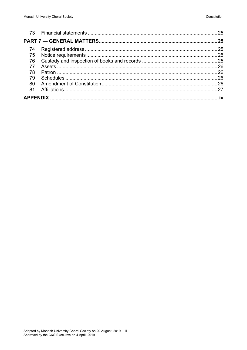| 74 |  |
|----|--|
| 75 |  |
| 76 |  |
| 77 |  |
| 78 |  |
| 79 |  |
| 80 |  |
| 81 |  |
|    |  |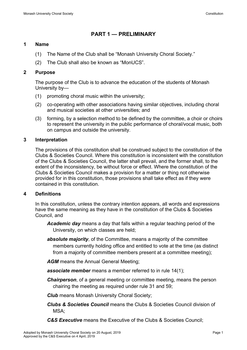# <span id="page-4-0"></span>**PART 1 — PRELIMINARY**

#### <span id="page-4-1"></span>**1 Name**

- (1) The Name of the Club shall be "Monash University Choral Society."
- (2) The Club shall also be known as "MonUCS".

### <span id="page-4-2"></span>**2 Purpose**

The purpose of the Club is to advance the education of the students of Monash University by—

- (1) promoting choral music within the university;
- (2) co-operating with other associations having similar objectives, including choral and musical societies at other universities; and
- (3) forming, by a selection method to be defined by the committee, a choir or choirs to represent the university in the public performance of choral/vocal music, both on campus and outside the university.

# <span id="page-4-3"></span>**3 Interpretation**

The provisions of this constitution shall be construed subject to the constitution of the Clubs & Societies Council. Where this constitution is inconsistent with the constitution of the Clubs & Societies Council, the latter shall prevail, and the former shall, to the extent of the inconsistency, be without force or effect. Where the constitution of the Clubs & Societies Council makes a provision for a matter or thing not otherwise provided for in this constitution, those provisions shall take effect as if they were contained in this constitution.

#### <span id="page-4-4"></span>**4 Definitions**

In this constitution, unless the contrary intention appears, all words and expressions have the same meaning as they have in the constitution of the Clubs & Societies Council, and

- *Academic day* means a day that falls within a regular teaching period of the University, on which classes are held;
- *absolute majority*, of the Committee, means a majority of the committee members currently holding office and entitled to vote at the time (as distinct from a majority of committee members present at a committee meeting);
- AGM means the Annual General Meeting;
- *associate member* means a member referred to in rule 14(1);
- *Chairperson*, of a general meeting or committee meeting, means the person chairing the meeting as required under rule 31 and 59;
- *Club* means Monash University Choral Society;
- *Clubs & Societies Council* means the Clubs & Societies Council division of MSA;
- *C&S Executive* means the Executive of the Clubs & Societies Council;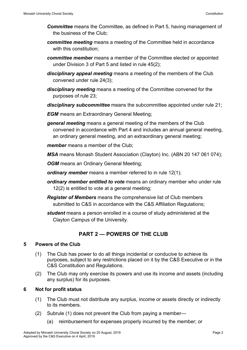- *Committee* means the Committee, as defined in Part 5, having management of the business of the Club;
- *committee meeting* means a meeting of the Committee held in accordance with this constitution;
- *committee member* means a member of the Committee elected or appointed under Division 3 of Part 5 and listed in rule 45(2);
- *disciplinary appeal meeting* means a meeting of the members of the Club convened under rule 24(3);
- *disciplinary meeting* means a meeting of the Committee convened for the purposes of rule 23;
- *disciplinary subcommittee* means the subcommittee appointed under rule 21;
- *EGM* means an Extraordinary General Meeting:
- *general meeting* means a general meeting of the members of the Club convened in accordance with Part 4 and includes an annual general meeting, an ordinary general meeting, and an extraordinary general meeting;
- *member* means a member of the Club;
- *MSA* means Monash Student Association (Clayton) Inc. (ABN 20 147 061 074);
- **OGM** means an Ordinary General Meeting;
- *ordinary member* means a member referred to in rule 12(1);
- *ordinary member entitled to vote* means an ordinary member who under rule 12(2) is entitled to vote at a general meeting;
- *Register of Members* means the comprehensive list of Club members submitted to C&S in accordance with the C&S Affiliation Regulations:
- *student* means a person enrolled in a course of study administered at the Clayton Campus of the University.

# <span id="page-5-0"></span>**PART 2 — POWERS OF THE CLUB**

# <span id="page-5-1"></span>**5 Powers of the Club**

- (1) The Club has power to do all things incidental or conducive to achieve its purposes, subject to any restrictions placed on it by the C&S Executive or in the C&S Constitution and Regulations.
- (2) The Club may only exercise its powers and use its income and assets (including any surplus) for its purposes.

# <span id="page-5-2"></span>**6 Not for profit status**

- (1) The Club must not distribute any surplus, income or assets directly or indirectly to its members.
- (2) Subrule (1) does not prevent the Club from paying a member—
	- (a) reimbursement for expenses properly incurred by the member; or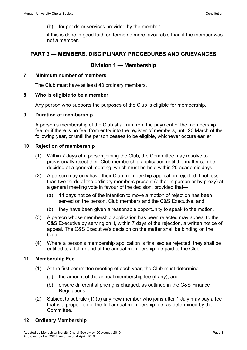(b) for goods or services provided by the member—

<span id="page-6-0"></span>if this is done in good faith on terms no more favourable than if the member was not a member.

# **PART 3 — MEMBERS, DISCIPLINARY PROCEDURES AND GRIEVANCES**

# <span id="page-6-1"></span>**Division 1 — Membership**

#### <span id="page-6-2"></span>**7 Minimum number of members**

The Club must have at least 40 ordinary members.

#### <span id="page-6-3"></span>**8 Who is eligible to be a member**

Any person who supports the purposes of the Club is eligible for membership.

#### <span id="page-6-4"></span>**9 Duration of membership**

A person's membership of the Club shall run from the payment of the membership fee, or if there is no fee, from entry into the register of members, until 20 March of the following year, or until the person ceases to be eligible, whichever occurs earlier.

#### <span id="page-6-5"></span>**10 Rejection of membership**

- (1) Within 7 days of a person joining the Club, the Committee may resolve to provisionally reject their Club membership application until the matter can be decided at a general meeting, which must be held within 20 academic days.
- (2) A person may only have their Club membership application rejected if not less than two thirds of the ordinary members present (either in person or by proxy) at a general meeting vote in favour of the decision, provided that—
	- (a) 14 days notice of the intention to move a motion of rejection has been served on the person, Club members and the C&S Executive, and
	- (b) they have been given a reasonable opportunity to speak to the motion.
- (3) A person whose membership application has been rejected may appeal to the C&S Executive by serving on it, within 7 days of the rejection, a written notice of appeal. The C&S Executive's decision on the matter shall be binding on the Club.
- (4) Where a person's membership application is finalised as rejected, they shall be entitled to a full refund of the annual membership fee paid to the Club.

#### <span id="page-6-6"></span>**11 Membership Fee**

- (1) At the first committee meeting of each year, the Club must determine—
	- (a) the amount of the annual membership fee (if any); and
	- (b) ensure differential pricing is charged, as outlined in the C&S Finance Regulations.
- (2) Subject to subrule (1) (b) any new member who joins after 1 July may pay a fee that is a proportion of the full annual membership fee, as determined by the Committee.

#### <span id="page-6-7"></span>**12 Ordinary Membership**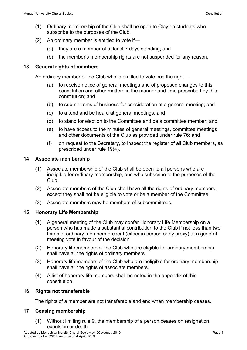- (1) Ordinary membership of the Club shall be open to Clayton students who subscribe to the purposes of the Club.
- (2) An ordinary member is entitled to vote if—
	- (a) they are a member of at least 7 days standing; and
	- (b) the member's membership rights are not suspended for any reason.

#### <span id="page-7-0"></span>**13 General rights of members**

An ordinary member of the Club who is entitled to vote has the right—

- (a) to receive notice of general meetings and of proposed changes to this constitution and other matters in the manner and time prescribed by this constitution; and
- (b) to submit items of business for consideration at a general meeting; and
- (c) to attend and be heard at general meetings; and
- (d) to stand for election to the Committee and be a committee member; and
- (e) to have access to the minutes of general meetings, committee meetings and other documents of the Club as provided under rule 76; and
- (f) on request to the Secretary, to inspect the register of all Club members, as prescribed under rule 19(4).

#### <span id="page-7-1"></span>**14 Associate membership**

- (1) Associate membership of the Club shall be open to all persons who are ineligible for ordinary membership, and who subscribe to the purposes of the Club.
- (2) Associate members of the Club shall have all the rights of ordinary members, except they shall not be eligible to vote or be a member of the Committee.
- (3) Associate members may be members of subcommittees.

# <span id="page-7-2"></span>**15 Honorary Life Membership**

- (1) A general meeting of the Club may confer Honorary Life Membership on a person who has made a substantial contribution to the Club if not less than two thirds of ordinary members present (either in person or by proxy) at a general meeting vote in favour of the decision.
- (2) Honorary life members of the Club who are eligible for ordinary membership shall have all the rights of ordinary members.
- (3) Honorary life members of the Club who are ineligible for ordinary membership shall have all the rights of associate members.
- (4) A list of honorary life members shall be noted in the appendix of this constitution.

#### <span id="page-7-3"></span>**16 Rights not transferable**

The rights of a member are not transferable and end when membership ceases.

#### <span id="page-7-4"></span>**17 Ceasing membership**

(1) Without limiting rule 9, the membership of a person ceases on resignation, expulsion or death.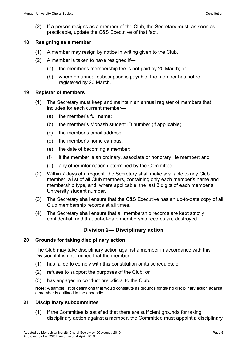(2) If a person resigns as a member of the Club, the Secretary must, as soon as practicable, update the C&S Executive of that fact.

#### <span id="page-8-0"></span>**18 Resigning as a member**

- (1) A member may resign by notice in writing given to the Club.
- (2) A member is taken to have resigned if—
	- (a) the member's membership fee is not paid by 20 March; or
	- (b) where no annual subscription is payable, the member has not reregistered by 20 March.

### <span id="page-8-1"></span>**19 Register of members**

- (1) The Secretary must keep and maintain an annual register of members that includes for each current member—
	- (a) the member's full name;
	- (b) the member's Monash student ID number (if applicable);
	- (c) the member's email address;
	- (d) the member's home campus;
	- (e) the date of becoming a member;
	- (f) if the member is an ordinary, associate or honorary life member; and
	- (g) any other information determined by the Committee.
- (2) Within 7 days of a request, the Secretary shall make available to any Club member, a list of all Club members, containing only each member's name and membership type, and, where applicable, the last 3 digits of each member's University student number.
- (3) The Secretary shall ensure that the C&S Executive has an up-to-date copy of all Club membership records at all times.
- (4) The Secretary shall ensure that all membership records are kept strictly confidential, and that out-of-date membership records are destroyed.

# **Division 2— Disciplinary action**

# <span id="page-8-3"></span><span id="page-8-2"></span>**20 Grounds for taking disciplinary action**

The Club may take disciplinary action against a member in accordance with this Division if it is determined that the member—

- (1) has failed to comply with this constitution or its schedules; or
- (2) refuses to support the purposes of the Club; or
- (3) has engaged in conduct prejudicial to the Club.

**Note:** A sample list of definitions that would constitute as grounds for taking disciplinary action against a member is outlined in the appendix.

# <span id="page-8-4"></span>**21 Disciplinary subcommittee**

(1) If the Committee is satisfied that there are sufficient grounds for taking disciplinary action against a member, the Committee must appoint a disciplinary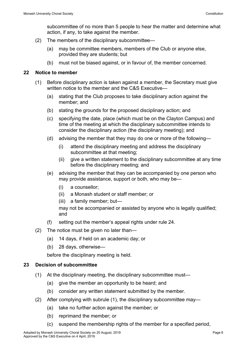subcommittee of no more than 5 people to hear the matter and determine what action, if any, to take against the member.

- (2) The members of the disciplinary subcommittee—
	- (a) may be committee members, members of the Club or anyone else, provided they are students; but
	- (b) must not be biased against, or in favour of, the member concerned.

## <span id="page-9-0"></span>**22 Notice to member**

- (1) Before disciplinary action is taken against a member, the Secretary must give written notice to the member and the C&S Executive—
	- (a) stating that the Club proposes to take disciplinary action against the member; and
	- (b) stating the grounds for the proposed disciplinary action; and
	- (c) specifying the date, place (which must be on the Clayton Campus) and time of the meeting at which the disciplinary subcommittee intends to consider the disciplinary action (the disciplinary meeting); and
	- (d) advising the member that they may do one or more of the following—
		- (i) attend the disciplinary meeting and address the disciplinary subcommittee at that meeting;
		- (ii) give a written statement to the disciplinary subcommittee at any time before the disciplinary meeting; and
	- (e) advising the member that they can be accompanied by one person who may provide assistance, support or both, who may be—
		- (i) a counsellor;
		- (ii) a Monash student or staff member; or
		- (iii) a family member; but—

may not be accompanied or assisted by anyone who is legally qualified; and

- (f) setting out the member's appeal rights under rule 24.
- (2) The notice must be given no later than—
	- (a) 14 days, if held on an academic day; or
	- (b) 28 days, otherwise—

before the disciplinary meeting is held.

# <span id="page-9-1"></span>**23 Decision of subcommittee**

- (1) At the disciplinary meeting, the disciplinary subcommittee must—
	- (a) give the member an opportunity to be heard; and
	- (b) consider any written statement submitted by the member.
- (2) After complying with subrule (1), the disciplinary subcommittee may—
	- (a) take no further action against the member; or
	- (b) reprimand the member; or
	- (c) suspend the membership rights of the member for a specified period,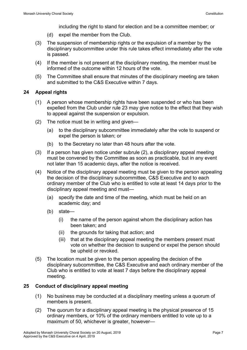including the right to stand for election and be a committee member; or

- (d) expel the member from the Club.
- (3) The suspension of membership rights or the expulsion of a member by the disciplinary subcommittee under this rule takes effect immediately after the vote is passed.
- (4) If the member is not present at the disciplinary meeting, the member must be informed of the outcome within 12 hours of the vote.
- (5) The Committee shall ensure that minutes of the disciplinary meeting are taken and submitted to the C&S Executive within 7 days.

# <span id="page-10-0"></span>**24 Appeal rights**

- (1) A person whose membership rights have been suspended or who has been expelled from the Club under rule 23 may give notice to the effect that they wish to appeal against the suspension or expulsion.
- (2) The notice must be in writing and given—
	- (a) to the disciplinary subcommittee immediately after the vote to suspend or expel the person is taken; or
	- (b) to the Secretary no later than 48 hours after the vote.
- (3) If a person has given notice under subrule (2), a disciplinary appeal meeting must be convened by the Committee as soon as practicable, but in any event not later than 15 academic days, after the notice is received.
- (4) Notice of the disciplinary appeal meeting must be given to the person appealing the decision of the disciplinary subcommittee, C&S Executive and to each ordinary member of the Club who is entitled to vote at least 14 days prior to the disciplinary appeal meeting and must—
	- (a) specify the date and time of the meeting, which must be held on an academic day; and
	- (b) state—
		- (i) the name of the person against whom the disciplinary action has been taken; and
		- (ii) the grounds for taking that action; and
		- (iii) that at the disciplinary appeal meeting the members present must vote on whether the decision to suspend or expel the person should be upheld or revoked.
- (5) The location must be given to the person appealing the decision of the disciplinary subcommittee, the C&S Executive and each ordinary member of the Club who is entitled to vote at least 7 days before the disciplinary appeal meeting.

# <span id="page-10-1"></span>**25 Conduct of disciplinary appeal meeting**

- (1) No business may be conducted at a disciplinary meeting unless a quorum of members is present.
- (2) The quorum for a disciplinary appeal meeting is the physical presence of 15 ordinary members, or 10% of the ordinary members entitled to vote up to a maximum of 50, whichever is greater, however—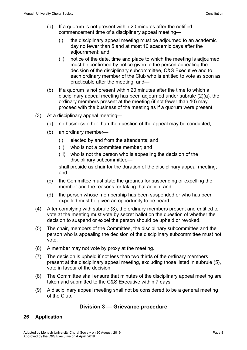- (a) If a quorum is not present within 20 minutes after the notified commencement time of a disciplinary appeal meeting—
	- (i) the disciplinary appeal meeting must be adjourned to an academic day no fewer than 5 and at most 10 academic days after the adjournment; and
	- (ii) notice of the date, time and place to which the meeting is adjourned must be confirmed by notice given to the person appealing the decision of the disciplinary subcommittee, C&S Executive and to each ordinary member of the Club who is entitled to vote as soon as practicable after the meeting; and—
- (b) If a quorum is not present within 20 minutes after the time to which a disciplinary appeal meeting has been adjourned under subrule (2)(a), the ordinary members present at the meeting (if not fewer than 10) may proceed with the business of the meeting as if a quorum were present.
- (3) At a disciplinary appeal meeting—
	- (a) no business other than the question of the appeal may be conducted;
	- (b) an ordinary member—
		- (i) elected by and from the attendants; and
		- (ii) who is not a committee member; and
		- (iii) who is not the person who is appealing the decision of the disciplinary subcommittee—

shall preside as chair for the duration of the disciplinary appeal meeting; and

- (c) the Committee must state the grounds for suspending or expelling the member and the reasons for taking that action; and
- (d) the person whose membership has been suspended or who has been expelled must be given an opportunity to be heard.
- (4) After complying with subrule (3), the ordinary members present and entitled to vote at the meeting must vote by secret ballot on the question of whether the decision to suspend or expel the person should be upheld or revoked.
- (5) The chair, members of the Committee, the disciplinary subcommittee and the person who is appealing the decision of the disciplinary subcommittee must not vote.
- (6) A member may not vote by proxy at the meeting.
- (7) The decision is upheld if not less than two thirds of the ordinary members present at the disciplinary appeal meeting, excluding those listed in subrule (5), vote in favour of the decision.
- (8) The Committee shall ensure that minutes of the disciplinary appeal meeting are taken and submitted to the C&S Executive within 7 days.
- (9) A disciplinary appeal meeting shall not be considered to be a general meeting of the Club.

# <span id="page-11-0"></span>**Division 3 — Grievance procedure**

# <span id="page-11-1"></span>**26 Application**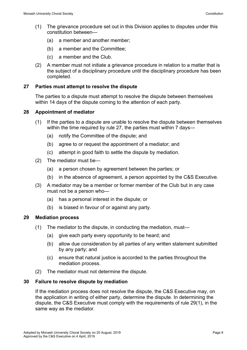- (1) The grievance procedure set out in this Division applies to disputes under this constitution between—
	- (a) a member and another member;
	- (b) a member and the Committee;
	- (c) a member and the Club.
- (2) A member must not initiate a grievance procedure in relation to a matter that is the subject of a disciplinary procedure until the disciplinary procedure has been completed.

## <span id="page-12-0"></span>**27 Parties must attempt to resolve the dispute**

The parties to a dispute must attempt to resolve the dispute between themselves within 14 days of the dispute coming to the attention of each party.

### <span id="page-12-1"></span>**28 Appointment of mediator**

- (1) If the parties to a dispute are unable to resolve the dispute between themselves within the time required by rule 27, the parties must within 7 days—
	- (a) notify the Committee of the dispute; and
	- (b) agree to or request the appointment of a mediator; and
	- (c) attempt in good faith to settle the dispute by mediation.
- (2) The mediator must be—
	- (a) a person chosen by agreement between the parties; or
	- (b) in the absence of agreement, a person appointed by the C&S Executive.
- (3) A mediator may be a member or former member of the Club but in any case must not be a person who—
	- (a) has a personal interest in the dispute; or
	- (b) is biased in favour of or against any party.

#### <span id="page-12-2"></span>**29 Mediation process**

- (1) The mediator to the dispute, in conducting the mediation, must—
	- (a) give each party every opportunity to be heard; and
	- (b) allow due consideration by all parties of any written statement submitted by any party; and
	- (c) ensure that natural justice is accorded to the parties throughout the mediation process.
- (2) The mediator must not determine the dispute.

# <span id="page-12-3"></span>**30 Failure to resolve dispute by mediation**

If the mediation process does not resolve the dispute, the C&S Executive may, on the application in writing of either party, determine the dispute. In determining the dispute, the C&S Executive must comply with the requirements of rule 29(1), in the same way as the mediator.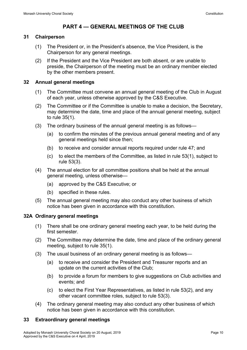# <span id="page-13-0"></span>**PART 4 — GENERAL MEETINGS OF THE CLUB**

# <span id="page-13-1"></span>**31 Chairperson**

- (1) The President or, in the President's absence, the Vice President, is the Chairperson for any general meetings.
- (2) If the President and the Vice President are both absent, or are unable to preside, the Chairperson of the meeting must be an ordinary member elected by the other members present.

## <span id="page-13-2"></span>**32 Annual general meetings**

- (1) The Committee must convene an annual general meeting of the Club in August of each year, unless otherwise approved by the C&S Executive.
- (2) The Committee or if the Committee is unable to make a decision, the Secretary, may determine the date, time and place of the annual general meeting, subject to rule 35(1).
- (3) The ordinary business of the annual general meeting is as follows—
	- (a) to confirm the minutes of the previous annual general meeting and of any general meetings held since then;
	- (b) to receive and consider annual reports required under rule 47; and
	- (c) to elect the members of the Committee, as listed in rule 53(1), subject to rule 53(3).
- (4) The annual election for all committee positions shall be held at the annual general meeting, unless otherwise—
	- (a) approved by the C&S Executive; or
	- (b) specified in these rules.
- (5) The annual general meeting may also conduct any other business of which notice has been given in accordance with this constitution.

# <span id="page-13-3"></span>**32A Ordinary general meetings**

- (1) There shall be one ordinary general meeting each year, to be held during the first semester.
- (2) The Committee may determine the date, time and place of the ordinary general meeting, subject to rule 35(1).
- (3) The usual business of an ordinary general meeting is as follows—
	- (a) to receive and consider the President and Treasurer reports and an update on the current activities of the Club;
	- (b) to provide a forum for members to give suggestions on Club activities and events; and
	- (c) to elect the First Year Representatives, as listed in rule 53(2), and any other vacant committee roles, subject to rule 53(3).
- (4) The ordinary general meeting may also conduct any other business of which notice has been given in accordance with this constitution.

# <span id="page-13-4"></span>**33 Extraordinary general meetings**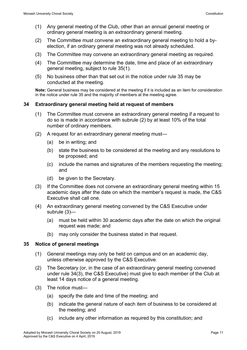- (1) Any general meeting of the Club, other than an annual general meeting or ordinary general meeting is an extraordinary general meeting.
- (2) The Committee must convene an extraordinary general meeting to hold a byelection, if an ordinary general meeting was not already scheduled.
- (3) The Committee may convene an extraordinary general meeting as required.
- (4) The Committee may determine the date, time and place of an extraordinary general meeting, subject to rule 35(1).
- (5) No business other than that set out in the notice under rule 35 may be conducted at the meeting.

**Note:** General business may be considered at the meeting if it is included as an item for consideration in the notice under rule 35 and the majority of members at the meeting agree.

### <span id="page-14-0"></span>**34 Extraordinary general meeting held at request of members**

- (1) The Committee must convene an extraordinary general meeting if a request to do so is made in accordance with subrule (2) by at least 10% of the total number of ordinary members.
- (2) A request for an extraordinary general meeting must—
	- (a) be in writing; and
	- (b) state the business to be considered at the meeting and any resolutions to be proposed; and
	- (c) include the names and signatures of the members requesting the meeting; and
	- (d) be given to the Secretary.
- (3) If the Committee does not convene an extraordinary general meeting within 15 academic days after the date on which the member's request is made, the C&S Executive shall call one.
- (4) An extraordinary general meeting convened by the C&S Executive under subrule (3)—
	- (a) must be held within 30 academic days after the date on which the original request was made; and
	- (b) may only consider the business stated in that request.

#### <span id="page-14-1"></span>**35 Notice of general meetings**

- (1) General meetings may only be held on campus and on an academic day, unless otherwise approved by the C&S Executive.
- (2) The Secretary (or, in the case of an extraordinary general meeting convened under rule 34(3), the C&S Executive) must give to each member of the Club at least 14 days notice of a general meeting.
- (3) The notice must—
	- (a) specify the date and time of the meeting; and
	- (b) indicate the general nature of each item of business to be considered at the meeting; and
	- (c) include any other information as required by this constitution; and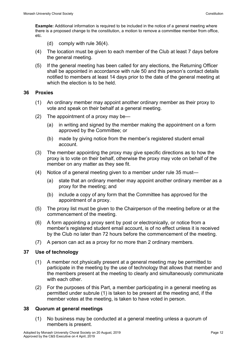**Example:** Additional information is required to be included in the notice of a general meeting where there is a proposed change to the constitution, a motion to remove a committee member from office, etc.

- (d) comply with rule 36(4).
- (4) The location must be given to each member of the Club at least 7 days before the general meeting.
- (5) If the general meeting has been called for any elections, the Returning Officer shall be appointed in accordance with rule 50 and this person's contact details notified to members at least 14 days prior to the date of the general meeting at which the election is to be held.

### <span id="page-15-0"></span>**36 Proxies**

- (1) An ordinary member may appoint another ordinary member as their proxy to vote and speak on their behalf at a general meeting.
- (2) The appointment of a proxy may be—
	- (a) in writing and signed by the member making the appointment on a form approved by the Committee; or
	- (b) made by giving notice from the member's registered student email account.
- (3) The member appointing the proxy may give specific directions as to how the proxy is to vote on their behalf, otherwise the proxy may vote on behalf of the member on any matter as they see fit.
- (4) Notice of a general meeting given to a member under rule 35 must—
	- (a) state that an ordinary member may appoint another ordinary member as a proxy for the meeting; and
	- (b) include a copy of any form that the Committee has approved for the appointment of a proxy.
- (5) The proxy list must be given to the Chairperson of the meeting before or at the commencement of the meeting.
- (6) A form appointing a proxy sent by post or electronically, or notice from a member's registered student email account, is of no effect unless it is received by the Club no later than 72 hours before the commencement of the meeting.
- (7) A person can act as a proxy for no more than 2 ordinary members.

# <span id="page-15-1"></span>**37 Use of technology**

- (1) A member not physically present at a general meeting may be permitted to participate in the meeting by the use of technology that allows that member and the members present at the meeting to clearly and simultaneously communicate with each other.
- (2) For the purposes of this Part, a member participating in a general meeting as permitted under subrule (1) is taken to be present at the meeting and, if the member votes at the meeting, is taken to have voted in person.

# <span id="page-15-2"></span>**38 Quorum at general meetings**

(1) No business may be conducted at a general meeting unless a quorum of members is present.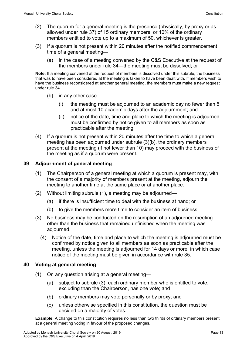- (2) The quorum for a general meeting is the presence (physically, by proxy or as allowed under rule 37) of 15 ordinary members, or 10% of the ordinary members entitled to vote up to a maximum of 50, whichever is greater.
- (3) If a quorum is not present within 20 minutes after the notified commencement time of a general meeting—
	- (a) in the case of a meeting convened by the C&S Executive at the request of the members under rule 34—the meeting must be dissolved; or

**Note:** If a meeting convened at the request of members is dissolved under this subrule, the business that was to have been considered at the meeting is taken to have been dealt with. If members wish to have the business reconsidered at another general meeting, the members must make a new request under rule 34.

- (b) in any other case—
	- (i) the meeting must be adjourned to an academic day no fewer than 5 and at most 10 academic days after the adjournment; and
	- (ii) notice of the date, time and place to which the meeting is adjourned must be confirmed by notice given to all members as soon as practicable after the meeting.
- (4) If a quorum is not present within 20 minutes after the time to which a general meeting has been adjourned under subrule (3)(b), the ordinary members present at the meeting (if not fewer than 10) may proceed with the business of the meeting as if a quorum were present.

### <span id="page-16-0"></span>**39 Adjournment of general meeting**

- (1) The Chairperson of a general meeting at which a quorum is present may, with the consent of a majority of members present at the meeting, adjourn the meeting to another time at the same place or at another place.
- (2) Without limiting subrule (1), a meeting may be adjourned—
	- (a) if there is insufficient time to deal with the business at hand; or
	- (b) to give the members more time to consider an item of business.
- (3) No business may be conducted on the resumption of an adjourned meeting other than the business that remained unfinished when the meeting was adjourned.
	- (4) Notice of the date, time and place to which the meeting is adjourned must be confirmed by notice given to all members as soon as practicable after the meeting, unless the meeting is adjourned for 14 days or more, in which case notice of the meeting must be given in accordance with rule 35.

#### <span id="page-16-1"></span>**40 Voting at general meeting**

- (1) On any question arising at a general meeting—
	- (a) subject to subrule (3), each ordinary member who is entitled to vote, excluding than the Chairperson, has one vote; and
	- (b) ordinary members may vote personally or by proxy; and
	- (c) unless otherwise specified in this constitution, the question must be decided on a majority of votes.

**Example:** A change to this constitution requires no less than two thirds of ordinary members present at a general meeting voting in favour of the proposed changes.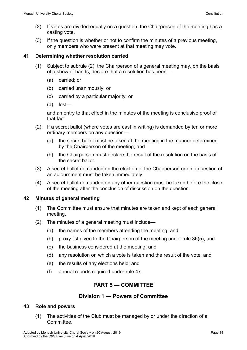- (2) If votes are divided equally on a question, the Chairperson of the meeting has a casting vote.
- (3) If the question is whether or not to confirm the minutes of a previous meeting, only members who were present at that meeting may vote.

#### <span id="page-17-0"></span>**41 Determining whether resolution carried**

- (1) Subject to subrule (2), the Chairperson of a general meeting may, on the basis of a show of hands, declare that a resolution has been—
	- (a) carried; or
	- (b) carried unanimously; or
	- (c) carried by a particular majority; or
	- (d) lost—

and an entry to that effect in the minutes of the meeting is conclusive proof of that fact.

- (2) If a secret ballot (where votes are cast in writing) is demanded by ten or more ordinary members on any question—
	- (a) the secret ballot must be taken at the meeting in the manner determined by the Chairperson of the meeting; and
	- (b) the Chairperson must declare the result of the resolution on the basis of the secret ballot.
- (3) A secret ballot demanded on the election of the Chairperson or on a question of an adjournment must be taken immediately.
- (4) A secret ballot demanded on any other question must be taken before the close of the meeting after the conclusion of discussion on the question.

# <span id="page-17-1"></span>**42 Minutes of general meeting**

- (1) The Committee must ensure that minutes are taken and kept of each general meeting.
- (2) The minutes of a general meeting must include—
	- (a) the names of the members attending the meeting; and
	- (b) proxy list given to the Chairperson of the meeting under rule 36(5); and
	- (c) the business considered at the meeting; and
	- (d) any resolution on which a vote is taken and the result of the vote; and
	- (e) the results of any elections held; and
	- (f) annual reports required under rule 47.

# <span id="page-17-3"></span><span id="page-17-2"></span>**PART 5 — COMMITTEE**

# **Division 1 — Powers of Committee**

#### <span id="page-17-4"></span>**43 Role and powers**

(1) The activities of the Club must be managed by or under the direction of a **Committee**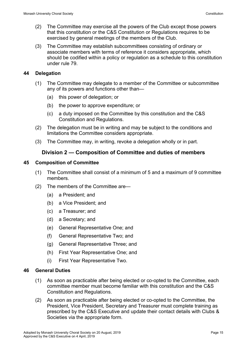- (2) The Committee may exercise all the powers of the Club except those powers that this constitution or the C&S Constitution or Regulations requires to be exercised by general meetings of the members of the Club.
- (3) The Committee may establish subcommittees consisting of ordinary or associate members with terms of reference it considers appropriate, which should be codified within a policy or regulation as a schedule to this constitution under rule 79.

#### <span id="page-18-0"></span>**44 Delegation**

- (1) The Committee may delegate to a member of the Committee or subcommittee any of its powers and functions other than—
	- (a) this power of delegation; or
	- (b) the power to approve expenditure; or
	- (c) a duty imposed on the Committee by this constitution and the C&S Constitution and Regulations.
- (2) The delegation must be in writing and may be subject to the conditions and limitations the Committee considers appropriate.
- (3) The Committee may, in writing, revoke a delegation wholly or in part.

# <span id="page-18-1"></span>**Division 2 — Composition of Committee and duties of members**

#### <span id="page-18-2"></span>**45 Composition of Committee**

- (1) The Committee shall consist of a minimum of 5 and a maximum of 9 committee members.
- (2) The members of the Committee are—
	- (a) a President; and
	- (b) a Vice President; and
	- (c) a Treasurer; and
	- (d) a Secretary; and
	- (e) General Representative One; and
	- (f) General Representative Two; and
	- (g) General Representative Three; and
	- (h) First Year Representative One; and
	- (i) First Year Representative Two.

#### <span id="page-18-3"></span>**46 General Duties**

- (1) As soon as practicable after being elected or co-opted to the Committee, each committee member must become familiar with this constitution and the C&S Constitution and Regulations.
- (2) As soon as practicable after being elected or co-opted to the Committee, the President, Vice President, Secretary and Treasurer must complete training as prescribed by the C&S Executive and update their contact details with Clubs & Societies via the appropriate form.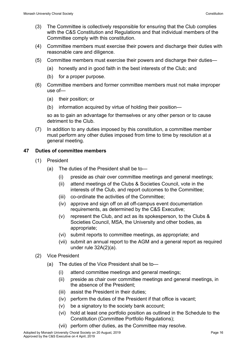- (3) The Committee is collectively responsible for ensuring that the Club complies with the C&S Constitution and Regulations and that individual members of the Committee comply with this constitution.
- (4) Committee members must exercise their powers and discharge their duties with reasonable care and diligence.
- (5) Committee members must exercise their powers and discharge their duties—
	- (a) honestly and in good faith in the best interests of the Club; and
	- (b) for a proper purpose.
- (6) Committee members and former committee members must not make improper use of—
	- (a) their position; or
	- (b) information acquired by virtue of holding their position—

so as to gain an advantage for themselves or any other person or to cause detriment to the Club.

(7) In addition to any duties imposed by this constitution, a committee member must perform any other duties imposed from time to time by resolution at a general meeting.

### <span id="page-19-0"></span>**47 Duties of committee members**

- (1) President
	- (a) The duties of the President shall be to—
		- (i) preside as chair over committee meetings and general meetings;
		- (ii) attend meetings of the Clubs & Societies Council, vote in the interests of the Club, and report outcomes to the Committee;
		- (iii) co-ordinate the activities of the Committee;
		- (iv) approve and sign off on all off-campus event documentation requirements, as determined by the C&S Executive;
		- (v) represent the Club, and act as its spokesperson, to the Clubs & Societies Council, MSA, the University and other bodies, as appropriate;
		- (vi) submit reports to committee meetings, as appropriate; and
		- (vii) submit an annual report to the AGM and a general report as required under rule 32A(2)(a).
- (2) Vice President
	- (a) The duties of the Vice President shall be to—
		- (i) attend committee meetings and general meetings;
		- (ii) preside as chair over committee meetings and general meetings, in the absence of the President;
		- (iii) assist the President in their duties;
		- (iv) perform the duties of the President if that office is vacant;
		- (v) be a signatory to the society bank account;
		- (vi) hold at least one portfolio position as outlined in the Schedule to the Constitution (Committee Portfolio Regulations);
		- (vii) perform other duties, as the Committee may resolve.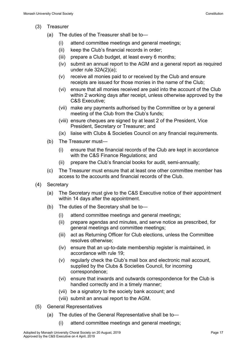- (3) Treasurer
	- (a) The duties of the Treasurer shall be to—
		- (i) attend committee meetings and general meetings;
		- (ii) keep the Club's financial records in order;
		- (iii) prepare a Club budget, at least every 6 months;
		- (iv) submit an annual report to the AGM and a general report as required under rule 32A(2)(a);
		- (v) receive all monies paid to or received by the Club and ensure receipts are issued for those monies in the name of the Club;
		- (vi) ensure that all monies received are paid into the account of the Club within 2 working days after receipt, unless otherwise approved by the C&S Executive;
		- (vii) make any payments authorised by the Committee or by a general meeting of the Club from the Club's funds;
		- (viii) ensure cheques are signed by at least 2 of the President, Vice President, Secretary or Treasurer; and
		- (ix) liaise with Clubs & Societies Council on any financial requirements.
	- (b) The Treasurer must—
		- (i) ensure that the financial records of the Club are kept in accordance with the C&S Finance Regulations; and
		- (ii) prepare the Club's financial books for audit, semi-annually;
	- (c) The Treasurer must ensure that at least one other committee member has access to the accounts and financial records of the Club.
- (4) Secretary
	- (a) The Secretary must give to the C&S Executive notice of their appointment within 14 days after the appointment.
	- (b) The duties of the Secretary shall be to—
		- (i) attend committee meetings and general meetings;
		- (ii) prepare agendas and minutes, and serve notice as prescribed, for general meetings and committee meetings;
		- (iii) act as Returning Officer for Club elections, unless the Committee resolves otherwise;
		- (iv) ensure that an up-to-date membership register is maintained, in accordance with rule 19;
		- (v) regularly check the Club's mail box and electronic mail account, supplied by the Clubs & Societies Council, for incoming correspondence;
		- (vi) ensure that inwards and outwards correspondence for the Club is handled correctly and in a timely manner;
		- (vii) be a signatory to the society bank account; and
		- (viii) submit an annual report to the AGM.
- (5) General Representatives
	- (a) The duties of the General Representative shall be to—
		- (i) attend committee meetings and general meetings;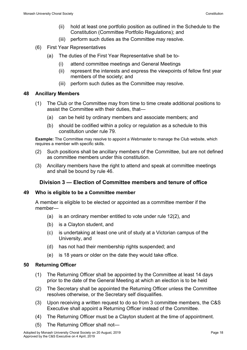- (ii) hold at least one portfolio position as outlined in the Schedule to the Constitution (Committee Portfolio Regulations); and
- (iii) perform such duties as the Committee may resolve.
- (6) First Year Representatives
	- (a) The duties of the First Year Representative shall be to-
		- (i) attend committee meetings and General Meetings
		- (ii) represent the interests and express the viewpoints of fellow first year members of the society; and
		- (iii) perform such duties as the Committee may resolve.

### <span id="page-21-0"></span>**48 Ancillary Members**

- (1) The Club or the Committee may from time to time create additional positions to assist the Committee with their duties, that—
	- (a) can be held by ordinary members and associate members; and
	- (b) should be codified within a policy or regulation as a schedule to this constitution under rule 79.

**Example:** The Committee may resolve to appoint a Webmaster to manage the Club website, which requires a member with specific skills.

- (2) Such positions shall be ancillary members of the Committee, but are not defined as committee members under this constitution.
- (3) Ancillary members have the right to attend and speak at committee meetings and shall be bound by rule 46.

# <span id="page-21-1"></span>**Division 3 — Election of Committee members and tenure of office**

#### <span id="page-21-2"></span>**49 Who is eligible to be a Committee member**

A member is eligible to be elected or appointed as a committee member if the member—

- (a) is an ordinary member entitled to vote under rule 12(2), and
- (b) is a Clayton student, and
- (c) is undertaking at least one unit of study at a Victorian campus of the University, and
- (d) has not had their membership rights suspended; and
- (e) is 18 years or older on the date they would take office.

# <span id="page-21-3"></span>**50 Returning Officer**

- (1) The Returning Officer shall be appointed by the Committee at least 14 days prior to the date of the General Meeting at which an election is to be held
- (2) The Secretary shall be appointed the Returning Officer unless the Committee resolves otherwise, or the Secretary self disqualifies.
- (3) Upon receiving a written request to do so from 3 committee members, the C&S Executive shall appoint a Returning Officer instead of the Committee.
- (4) The Returning Officer must be a Clayton student at the time of appointment.
- (5) The Returning Officer shall not—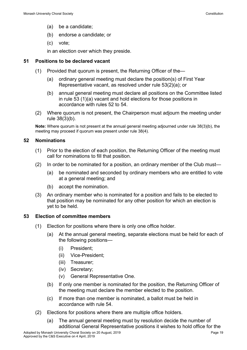- (a) be a candidate;
- (b) endorse a candidate; or
- (c) vote;

in an election over which they preside.

### <span id="page-22-0"></span>**51 Positions to be declared vacant**

- (1) Provided that quorum is present, the Returning Officer of the—
	- (a) ordinary general meeting must declare the position(s) of First Year Representative vacant, as resolved under rule 53(2)(a); or
	- (b) annual general meeting must declare all positions on the Committee listed in rule 53 (1)(a) vacant and hold elections for those positions in accordance with rules 52 to 54.
- (2) Where quorum is not present, the Chairperson must adjourn the meeting under rule 38(3)(b).

**Note:** Where quorum is not present at the annual general meeting adjourned under rule 38(3)(b), the meeting may proceed if quorum was present under rule 38(4).

### <span id="page-22-1"></span>**52 Nominations**

- (1) Prior to the election of each position, the Returning Officer of the meeting must call for nominations to fill that position.
- (2) In order to be nominated for a position, an ordinary member of the Club must—
	- (a) be nominated and seconded by ordinary members who are entitled to vote at a general meeting; and
	- (b) accept the nomination.
- (3) An ordinary member who is nominated for a position and fails to be elected to that position may be nominated for any other position for which an election is yet to be held.

#### <span id="page-22-2"></span>**53 Election of committee members**

- (1) Election for positions where there is only one office holder.
	- (a) At the annual general meeting, separate elections must be held for each of the following positions—
		- (i) President;
		- (ii) Vice-President;
		- (iii) Treasurer;
		- (iv) Secretary;
		- (v) General Representative One.
	- (b) If only one member is nominated for the position, the Returning Officer of the meeting must declare the member elected to the position.
	- (c) If more than one member is nominated, a ballot must be held in accordance with rule 54.
- (2) Elections for positions where there are multiple office holders.
	- (a) The annual general meeting must by resolution decide the number of additional General Representative positions it wishes to hold office for the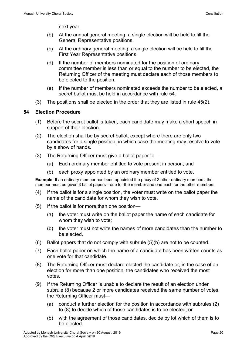next year.

- (b) At the annual general meeting, a single election will be held to fill the General Representative positions.
- (c) At the ordinary general meeting, a single election will be held to fill the First Year Representative positions.
- (d) If the number of members nominated for the position of ordinary committee member is less than or equal to the number to be elected, the Returning Officer of the meeting must declare each of those members to be elected to the position.
- (e) If the number of members nominated exceeds the number to be elected, a secret ballot must be held in accordance with rule 54.
- (3) The positions shall be elected in the order that they are listed in rule 45(2).

### <span id="page-23-0"></span>**54 Election Procedure**

- (1) Before the secret ballot is taken, each candidate may make a short speech in support of their election.
- (2) The election shall be by secret ballot, except where there are only two candidates for a single position, in which case the meeting may resolve to vote by a show of hands.
- (3) The Returning Officer must give a ballot paper to—
	- (a) Each ordinary member entitled to vote present in person; and
	- (b) each proxy appointed by an ordinary member entitled to vote.

**Example:** If an ordinary member has been appointed the proxy of 2 other ordinary members, the member must be given 3 ballot papers—one for the member and one each for the other members.

- (4) If the ballot is for a single position, the voter must write on the ballot paper the name of the candidate for whom they wish to vote.
- (5) If the ballot is for more than one position—
	- (a) the voter must write on the ballot paper the name of each candidate for whom they wish to vote;
	- (b) the voter must not write the names of more candidates than the number to be elected.
- (6) Ballot papers that do not comply with subrule (5)(b) are not to be counted.
- (7) Each ballot paper on which the name of a candidate has been written counts as one vote for that candidate.
- (8) The Returning Officer must declare elected the candidate or, in the case of an election for more than one position, the candidates who received the most votes.
- (9) If the Returning Officer is unable to declare the result of an election under subrule (8) because 2 or more candidates received the same number of votes, the Returning Officer must—
	- (a) conduct a further election for the position in accordance with subrules (2) to (8) to decide which of those candidates is to be elected; or
	- (b) with the agreement of those candidates, decide by lot which of them is to be elected.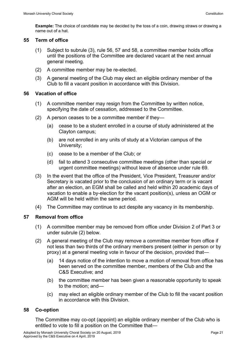**Example:** The choice of candidate may be decided by the toss of a coin, drawing straws or drawing a name out of a hat.

#### <span id="page-24-0"></span>**55 Term of office**

- (1) Subject to subrule (3), rule 56, 57 and 58, a committee member holds office until the positions of the Committee are declared vacant at the next annual general meeting.
- (2) A committee member may be re-elected.
- (3) A general meeting of the Club may elect an eligible ordinary member of the Club to fill a vacant position in accordance with this Division.

### <span id="page-24-1"></span>**56 Vacation of office**

- (1) A committee member may resign from the Committee by written notice, specifying the date of cessation, addressed to the Committee.
- (2) A person ceases to be a committee member if they—
	- (a) cease to be a student enrolled in a course of study administered at the Clayton campus;
	- (b) are not enrolled in any units of study at a Victorian campus of the University;
	- (c) cease to be a member of the Club; or
	- (d) fail to attend 3 consecutive committee meetings (other than special or urgent committee meetings) without leave of absence under rule 69.
- (3) In the event that the office of the President, Vice President, Treasurer and/or Secretary is vacated prior to the conclusion of an ordinary term or is vacant after an election, an EGM shall be called and held within 20 academic days of vacation to enable a by-election for the vacant position(s), unless an OGM or AGM will be held within the same period.
- (4) The Committee may continue to act despite any vacancy in its membership.

# <span id="page-24-2"></span>**57 Removal from office**

- (1) A committee member may be removed from office under Division 2 of Part 3 or under subrule (2) below.
- (2) A general meeting of the Club may remove a committee member from office if not less than two thirds of the ordinary members present (either in person or by proxy) at a general meeting vote in favour of the decision, provided that—
	- (a) 14 days notice of the intention to move a motion of removal from office has been served on the committee member, members of the Club and the C&S Executive; and
	- (b) the committee member has been given a reasonable opportunity to speak to the motion; and—
	- (c) may elect an eligible ordinary member of the Club to fill the vacant position in accordance with this Division.

# <span id="page-24-3"></span>**58 Co-option**

The Committee may co-opt (appoint) an eligible ordinary member of the Club who is entitled to vote to fill a position on the Committee that—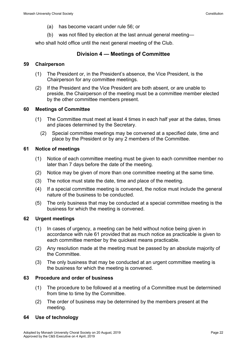- (a) has become vacant under rule 56; or
- (b) was not filled by election at the last annual general meeting—

who shall hold office until the next general meeting of the Club.

# <span id="page-25-0"></span>**Division 4 — Meetings of Committee**

#### <span id="page-25-1"></span>**59 Chairperson**

- (1) The President or, in the President's absence, the Vice President, is the Chairperson for any committee meetings.
- (2) If the President and the Vice President are both absent, or are unable to preside, the Chairperson of the meeting must be a committee member elected by the other committee members present.

### <span id="page-25-2"></span>**60 Meetings of Committee**

- (1) The Committee must meet at least 4 times in each half year at the dates, times and places determined by the Secretary.
	- (2) Special committee meetings may be convened at a specified date, time and place by the President or by any 2 members of the Committee.

### <span id="page-25-3"></span>**61 Notice of meetings**

- (1) Notice of each committee meeting must be given to each committee member no later than 7 days before the date of the meeting.
- (2) Notice may be given of more than one committee meeting at the same time.
- (3) The notice must state the date, time and place of the meeting.
- (4) If a special committee meeting is convened, the notice must include the general nature of the business to be conducted.
- (5) The only business that may be conducted at a special committee meeting is the business for which the meeting is convened.

# <span id="page-25-4"></span>**62 Urgent meetings**

- (1) In cases of urgency, a meeting can be held without notice being given in accordance with rule 61 provided that as much notice as practicable is given to each committee member by the quickest means practicable.
- (2) Any resolution made at the meeting must be passed by an absolute majority of the Committee.
- (3) The only business that may be conducted at an urgent committee meeting is the business for which the meeting is convened.

#### <span id="page-25-5"></span>**63 Procedure and order of business**

- (1) The procedure to be followed at a meeting of a Committee must be determined from time to time by the Committee.
- (2) The order of business may be determined by the members present at the meeting.

# <span id="page-25-6"></span>**64 Use of technology**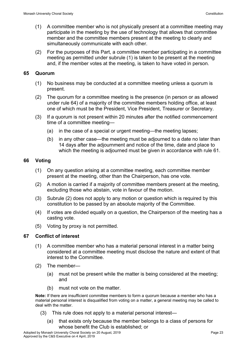- (1) A committee member who is not physically present at a committee meeting may participate in the meeting by the use of technology that allows that committee member and the committee members present at the meeting to clearly and simultaneously communicate with each other.
- (2) For the purposes of this Part, a committee member participating in a committee meeting as permitted under subrule (1) is taken to be present at the meeting and, if the member votes at the meeting, is taken to have voted in person.

### <span id="page-26-0"></span>**65 Quorum**

- (1) No business may be conducted at a committee meeting unless a quorum is present.
- (2) The quorum for a committee meeting is the presence (in person or as allowed under rule 64) of a majority of the committee members holding office, at least one of which must be the President, Vice President, Treasurer or Secretary.
- (3) If a quorum is not present within 20 minutes after the notified commencement time of a committee meeting—
	- (a) in the case of a special or urgent meeting—the meeting lapses;
	- (b) in any other case—the meeting must be adjourned to a date no later than 14 days after the adjournment and notice of the time, date and place to which the meeting is adjourned must be given in accordance with rule 61.

# <span id="page-26-1"></span>**66 Voting**

- (1) On any question arising at a committee meeting, each committee member present at the meeting, other than the Chairperson, has one vote.
- (2) A motion is carried if a majority of committee members present at the meeting, excluding those who abstain, vote in favour of the motion.
- (3) Subrule (2) does not apply to any motion or question which is required by this constitution to be passed by an absolute majority of the Committee.
- (4) If votes are divided equally on a question, the Chairperson of the meeting has a casting vote.
- (5) Voting by proxy is not permitted.

# <span id="page-26-2"></span>**67 Conflict of interest**

- (1) A committee member who has a material personal interest in a matter being considered at a committee meeting must disclose the nature and extent of that interest to the Committee.
- (2) The member—
	- (a) must not be present while the matter is being considered at the meeting; and
	- (b) must not vote on the matter.

**Note:** If there are insufficient committee members to form a quorum because a member who has a material personal interest is disqualified from voting on a matter, a general meeting may be called to deal with the matter.

- (3) This rule does not apply to a material personal interest—
	- (a) that exists only because the member belongs to a class of persons for whose benefit the Club is established; or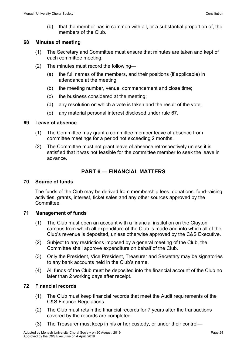(b) that the member has in common with all, or a substantial proportion of, the members of the Club.

#### <span id="page-27-0"></span>**68 Minutes of meeting**

- (1) The Secretary and Committee must ensure that minutes are taken and kept of each committee meeting.
- (2) The minutes must record the following—
	- (a) the full names of the members, and their positions (if applicable) in attendance at the meeting;
	- (b) the meeting number, venue, commencement and close time;
	- (c) the business considered at the meeting;
	- (d) any resolution on which a vote is taken and the result of the vote;
	- (e) any material personal interest disclosed under rule 67.

### <span id="page-27-1"></span>**69 Leave of absence**

- (1) The Committee may grant a committee member leave of absence from committee meetings for a period not exceeding 2 months.
- (2) The Committee must not grant leave of absence retrospectively unless it is satisfied that it was not feasible for the committee member to seek the leave in advance.

# <span id="page-27-2"></span>**PART 6 — FINANCIAL MATTERS**

# <span id="page-27-3"></span>**70 Source of funds**

The funds of the Club may be derived from membership fees, donations, fund-raising activities, grants, interest, ticket sales and any other sources approved by the **Committee** 

# <span id="page-27-4"></span>**71 Management of funds**

- (1) The Club must open an account with a financial institution on the Clayton campus from which all expenditure of the Club is made and into which all of the Club's revenue is deposited, unless otherwise approved by the C&S Executive.
- (2) Subject to any restrictions imposed by a general meeting of the Club, the Committee shall approve expenditure on behalf of the Club.
- (3) Only the President, Vice President, Treasurer and Secretary may be signatories to any bank accounts held in the Club's name.
- (4) All funds of the Club must be deposited into the financial account of the Club no later than 2 working days after receipt.

# <span id="page-27-5"></span>**72 Financial records**

- (1) The Club must keep financial records that meet the Audit requirements of the C&S Finance Regulations.
- (2) The Club must retain the financial records for 7 years after the transactions covered by the records are completed.
- (3) The Treasurer must keep in his or her custody, or under their control—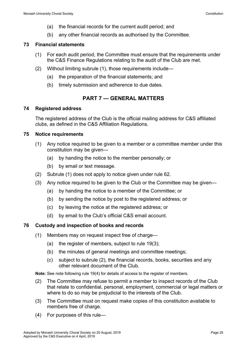- (a) the financial records for the current audit period; and
- (b) any other financial records as authorised by the Committee.

# <span id="page-28-0"></span>**73 Financial statements**

- (1) For each audit period, the Committee must ensure that the requirements under the C&S Finance Regulations relating to the audit of the Club are met.
- (2) Without limiting subrule (1), those requirements include—
	- (a) the preparation of the financial statements; and
	- (b) timely submission and adherence to due dates.

# <span id="page-28-1"></span>**PART 7 — GENERAL MATTERS**

# <span id="page-28-2"></span>**74 Registered address**

The registered address of the Club is the official mailing address for C&S affiliated clubs, as defined in the C&S Affiliation Regulations.

# <span id="page-28-3"></span>**75 Notice requirements**

- (1) Any notice required to be given to a member or a committee member under this constitution may be given—
	- (a) by handing the notice to the member personally; or
	- (b) by email or text message.
- (2) Subrule (1) does not apply to notice given under rule 62.
- (3) Any notice required to be given to the Club or the Committee may be given—
	- (a) by handing the notice to a member of the Committee; or
	- (b) by sending the notice by post to the registered address; or
	- (c) by leaving the notice at the registered address; or
	- (d) by email to the Club's official C&S email account.

# <span id="page-28-4"></span>**76 Custody and inspection of books and records**

- (1) Members may on request inspect free of charge—
	- (a) the register of members, subject to rule 19(3);
	- (b) the minutes of general meetings and committee meetings;
	- (c) subject to subrule (2), the financial records, books, securities and any other relevant document of the Club.

**Note:** See note following rule 19(4) for details of access to the register of members.

- (2) The Committee may refuse to permit a member to inspect records of the Club that relate to confidential, personal, employment, commercial or legal matters or where to do so may be prejudicial to the interests of the Club.
- (3) The Committee must on request make copies of this constitution available to members free of charge.
- (4) For purposes of this rule—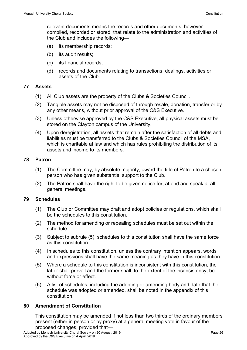relevant documents means the records and other documents, however compiled, recorded or stored, that relate to the administration and activities of the Club and includes the following—

- (a) its membership records;
- (b) its audit results;
- (c) its financial records;
- (d) records and documents relating to transactions, dealings, activities or assets of the Club.

#### <span id="page-29-0"></span>**77 Assets**

- (1) All Club assets are the property of the Clubs & Societies Council.
- (2) Tangible assets may not be disposed of through resale, donation, transfer or by any other means, without prior approval of the C&S Executive.
- (3) Unless otherwise approved by the C&S Executive, all physical assets must be stored on the Clayton campus of the University.
- (4) Upon deregistration, all assets that remain after the satisfaction of all debts and liabilities must be transferred to the Clubs & Societies Council of the MSA, which is charitable at law and which has rules prohibiting the distribution of its assets and income to its members.

### <span id="page-29-1"></span>**78 Patron**

- (1) The Committee may, by absolute majority, award the title of Patron to a chosen person who has given substantial support to the Club.
- (2) The Patron shall have the right to be given notice for, attend and speak at all general meetings.

# <span id="page-29-2"></span>**79 Schedules**

- (1) The Club or Committee may draft and adopt policies or regulations, which shall be the schedules to this constitution.
- (2) The method for amending or repealing schedules must be set out within the schedule.
- (3) Subject to subrule (5), schedules to this constitution shall have the same force as this constitution.
- (4) In schedules to this constitution, unless the contrary intention appears, words and expressions shall have the same meaning as they have in this constitution.
- (5) Where a schedule to this constitution is inconsistent with this constitution, the latter shall prevail and the former shall, to the extent of the inconsistency, be without force or effect.
- (6) A list of schedules, including the adopting or amending body and date that the schedule was adopted or amended, shall be noted in the appendix of this constitution.

#### <span id="page-29-3"></span>**80 Amendment of Constitution**

This constitution may be amended if not less than two thirds of the ordinary members present (either in person or by proxy) at a general meeting vote in favour of the proposed changes, provided that—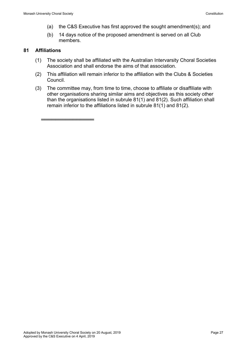- (a) the C&S Executive has first approved the sought amendment(s); and
- (b) 14 days notice of the proposed amendment is served on all Club members.

#### <span id="page-30-0"></span>**81 Affiliations**

═══════════════

- (1) The society shall be affiliated with the Australian Intervarsity Choral Societies Association and shall endorse the aims of that association.
- (2) This affiliation will remain inferior to the affiliation with the Clubs & Societies Council.
- (3) The committee may, from time to time, choose to affiliate or disaffiliate with other organisations sharing similar aims and objectives as this society other than the organisations listed in subrule 81(1) and 81(2). Such affiliation shall remain inferior to the affiliations listed in subrule 81(1) and 81(2).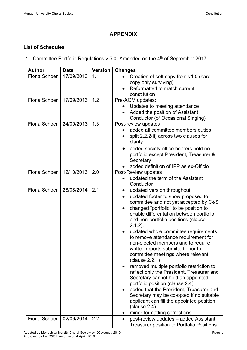# **APPENDIX**

# <span id="page-31-0"></span>**List of Schedules**

1. Committee Portfolio Regulations v 5.0- Amended on the 4<sup>th</sup> of September 2017

| <b>Author</b> | <b>Date</b> | <b>Version</b> | <b>Changes</b>                                       |
|---------------|-------------|----------------|------------------------------------------------------|
| Fiona Schoer  | 17/09/2013  | 1.1            | Creation of soft copy from v1.0 (hard                |
|               |             |                | copy only surviving)                                 |
|               |             |                | Reformatted to match current                         |
|               |             |                | constitution                                         |
| Fiona Schoer  | 17/09/2013  | 1.2            | Pre-AGM updates:                                     |
|               |             |                | Updates to meeting attendance                        |
|               |             |                | Added the position of Assistant                      |
|               |             |                | Conductor (of Occasional Singing)                    |
| Fiona Schoer  | 24/09/2013  | 1.3            | Post-review updates                                  |
|               |             |                | added all committee members duties                   |
|               |             |                | split 2.2.2(ii) across two clauses for               |
|               |             |                | clarity                                              |
|               |             |                | added society office bearers hold no                 |
|               |             |                | portfolio except President, Treasurer &              |
|               |             |                | Secretary                                            |
|               |             |                | added definition of IPP as ex-Officio                |
| Fiona Schoer  | 12/10/2013  | 2.0            | Post-Review updates                                  |
|               |             |                | updated the term of the Assistant                    |
|               |             |                | Conductor                                            |
| Fiona Schoer  | 28/08/2014  | 2.1            | updated version throughout<br>$\bullet$              |
|               |             |                | updated footer to show proposed to                   |
|               |             |                | committee and not yet accepted by C&S                |
|               |             |                | changed "portfolio" to be position to                |
|               |             |                | enable differentation between portfolio              |
|               |             |                | and non-portfolio positions (clause                  |
|               |             |                | $2.1.2$ ).                                           |
|               |             |                | updated whole committee requirements                 |
|               |             |                | to remove attendance requirement for                 |
|               |             |                | non-elected members and to require                   |
|               |             |                | written reports submitted prior to                   |
|               |             |                | committee meetings where relevant<br>(clause 2.2.1)  |
|               |             |                | removed multiple portfolio restriction to            |
|               |             |                | reflect only the President, Treasurer and            |
|               |             |                | Secretary cannot hold an appointed                   |
|               |             |                | portfolio position (clause 2.4)                      |
|               |             |                | added that the President, Treasurer and<br>$\bullet$ |
|               |             |                | Secretary may be co-opted if no suitable             |
|               |             |                | applicant can fill the appointed position            |
|               |             |                | clause 2.4)                                          |
|               |             |                | minor formatting corrections                         |
| Fiona Schoer  | 02/09/2014  | 2.2            | post-review updates - added Assistant                |
|               |             |                | <b>Treasurer position to Portfolio Positions</b>     |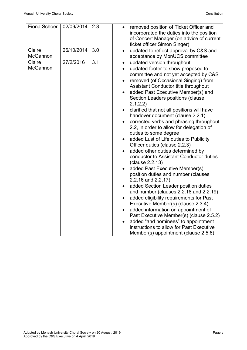| Fiona Schoer              | 02/09/2014 | 2.3 | removed position of Ticket Officer and<br>incorporated the duties into the position<br>of Concert Manager (on advice of current<br>ticket officer Simon Singer)                                                                                                                                                                                                                                                                                                                                                                                                                                                                                                                                                                                                                                                                                                                                                                                                                                                                                                                                                                                |
|---------------------------|------------|-----|------------------------------------------------------------------------------------------------------------------------------------------------------------------------------------------------------------------------------------------------------------------------------------------------------------------------------------------------------------------------------------------------------------------------------------------------------------------------------------------------------------------------------------------------------------------------------------------------------------------------------------------------------------------------------------------------------------------------------------------------------------------------------------------------------------------------------------------------------------------------------------------------------------------------------------------------------------------------------------------------------------------------------------------------------------------------------------------------------------------------------------------------|
| Claire<br>McGannon        | 26/10/2014 | 3.0 | updated to reflect approval by C&S and<br>acceptance by MonUCS committee                                                                                                                                                                                                                                                                                                                                                                                                                                                                                                                                                                                                                                                                                                                                                                                                                                                                                                                                                                                                                                                                       |
| Claire<br><b>McGannon</b> | 27/2/2016  | 3.1 | updated version throughout<br>updated footer to show proposed to<br>committee and not yet accepted by C&S<br>removed (of Occasional Singing) from<br>Assistant Conductor title throughout<br>added Past Executive Member(s) and<br>Section Leaders positions (clause<br>2.1.2.2)<br>clarified that not all positions will have<br>handover document (clause 2.2.1)<br>corrected verbs and phrasing throughout<br>2.2, in order to allow for delegation of<br>duties to some degree<br>added Lust of Life duties to Publicity<br>Officer duties (clause 2.2.3)<br>added other duties determined by<br>conductor to Assistant Conductor duties<br>(clause 2.2.13)<br>added Past Executive Member(s)<br>position duties and number (clauses<br>2.2.16 and 2.2.17)<br>added Section Leader position duties<br>and number (clauses 2.2.18 and 2.2.19)<br>added eligibility requirements for Past<br>Executive Member(s) (clause 2.3.4)<br>added information on appointment of<br>Past Executive Member(s) (clause 2.5.2)<br>added "and nominees" to appointment<br>instructions to allow for Past Executive<br>Member(s) appointment (clause 2.5.6) |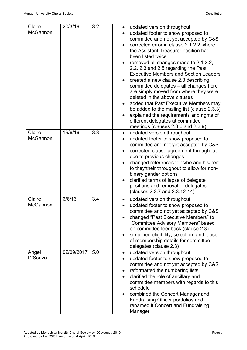| Claire<br><b>McGannon</b> | 20/3/16    | 3.2 | updated version throughout<br>updated footer to show proposed to<br>committee and not yet accepted by C&S<br>corrected error in clause 2.1.2.2 where<br>the Assistant Treasurer position had<br>been listed twice<br>removed all changes made to 2.1.2.2,<br>2.2, 2.3 and 2.5 regarding the Past<br><b>Executive Members and Section Leaders</b><br>created a new clause 2.3 describing<br>committee delegates - all changes here<br>are simply moved from where they were<br>deleted in the above clauses<br>added that Past Executive Members may<br>be added to the mailing list (clause 2.3.3)<br>explained the requirements and rights of<br>different delegates at committee<br>meetings (clauses 2.3.6 and 2.3.9) |
|---------------------------|------------|-----|--------------------------------------------------------------------------------------------------------------------------------------------------------------------------------------------------------------------------------------------------------------------------------------------------------------------------------------------------------------------------------------------------------------------------------------------------------------------------------------------------------------------------------------------------------------------------------------------------------------------------------------------------------------------------------------------------------------------------|
| Claire<br>McGannon        | 19/6/16    | 3.3 | updated version throughout<br>updated footer to show proposed to<br>committee and not yet accepted by C&S<br>corrected clause agreement throughout<br>due to previous changes<br>changed references to "s/he and his/her"<br>to they/their throughout to allow for non-<br>binary gender options<br>clarified terms of lapse of delegate<br>positions and removal of delegates<br>(clauses 2.3.7 and 2.3.12-14)                                                                                                                                                                                                                                                                                                          |
| Claire<br>McGannon        | 6/8/16     | 3.4 | updated version throughout<br>updated footer to show proposed to<br>committee and not yet accepted by C&S<br>changed "Past Executive Members" to<br>"Committee Advisory Members" based<br>on committee feedback (clause 2.3)<br>simplified eligibility, selection, and lapse<br>of membership details for committee<br>delegates (clause 2.3)                                                                                                                                                                                                                                                                                                                                                                            |
| Angel<br>D'Souza          | 02/09/2017 | 5.0 | updated version throughout<br>updated footer to show proposed to<br>committee and not yet accepted by C&S<br>reformatted the numbering lists<br>clarified the role of ancillary and<br>committee members with regards to this<br>schedule<br>combined the Concert Manager and<br>Fundraising Officer portfolios and<br>renamed it Concert and Fundraising<br>Manager                                                                                                                                                                                                                                                                                                                                                     |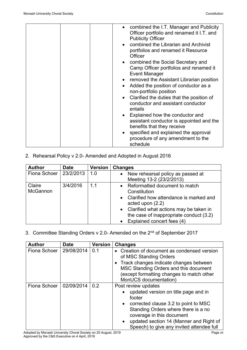| • combined the I.T. Manager and Publicity<br>Officer portfolio and renamed it I.T. and<br><b>Publicity Officer</b><br>combined the Librarian and Archivist<br>portfolios and renamed it Resource<br>Officer<br>• combined the Social Secretary and<br>Camp Officer portfolios and renamed it<br><b>Event Manager</b><br>• removed the Assistant Librarian position<br>Added the position of conductor as a<br>non-portfolio position<br>Clarified the duties that the position of<br>conductor and assistant conductor<br>entails<br>• Explained how the conductor and<br>assistant conductor is appointed and the |
|--------------------------------------------------------------------------------------------------------------------------------------------------------------------------------------------------------------------------------------------------------------------------------------------------------------------------------------------------------------------------------------------------------------------------------------------------------------------------------------------------------------------------------------------------------------------------------------------------------------------|
| benefits that they receive                                                                                                                                                                                                                                                                                                                                                                                                                                                                                                                                                                                         |
| • specified and explained the approval<br>procedure of any amendment to the<br>schedule                                                                                                                                                                                                                                                                                                                                                                                                                                                                                                                            |

2. Rehearsal Policy v 2.0- Amended and Adopted in August 2016

| <b>Author</b>      | <b>Date</b> | <b>Version</b> | <b>Changes</b>                                                                                                                                                                                                                                    |
|--------------------|-------------|----------------|---------------------------------------------------------------------------------------------------------------------------------------------------------------------------------------------------------------------------------------------------|
| Fiona Schoer       | 23/2/2013   | 1.0            | New rehearsal policy as passed at<br>$\bullet$<br>Meeting 13-2 (23/2/2013)                                                                                                                                                                        |
| Claire<br>McGannon | 3/4/2016    | 1.1            | Reformatted document to match<br>$\bullet$<br>Constitution<br>• Clarified how attendance is marked and<br>acted upon $(2.2)$<br>• Clarified what actions may be taken in<br>the case of inappropriate conduct (3.2)<br>Explained concert fees (4) |

3. Committee Standing Orders v 2.0- Amended on the 2<sup>nd</sup> of September 2017

| <b>Author</b> | <b>Date</b> | <b>Version</b>                                                                                                                                                                                                                                                                       | <b>Changes</b>                                                                                                                                                                                                                 |
|---------------|-------------|--------------------------------------------------------------------------------------------------------------------------------------------------------------------------------------------------------------------------------------------------------------------------------------|--------------------------------------------------------------------------------------------------------------------------------------------------------------------------------------------------------------------------------|
| Fiona Schoer  | 29/08/2014  | 0.1                                                                                                                                                                                                                                                                                  | Creation of document as condensed version<br>of MSC Standing Orders<br>• Track changes indicate changes between<br>MSC Standing Orders and this document<br>(except formatting changes to match other<br>MonUCS documentation) |
| Fiona Schoer  | 02/09/2014  | 0.2<br>Post review updates<br>updated version on title page and in<br>footer<br>• corrected clause 3.2 to point to MSC<br>Standing Orders where there is a no<br>coverage in this document<br>• updated section 14 (Manner and Right of<br>Speech) to give any invited attendee full |                                                                                                                                                                                                                                |

Adopted by Monash University Choral Society on 20 August, 2019 Page viiversity on the control of Page viiversity Approved by the C&S Executive on 4 April, 2019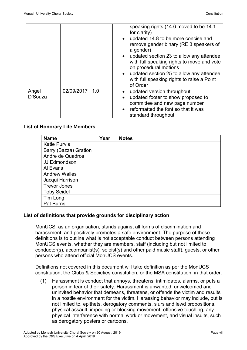|                  |            |     | speaking rights (14.6 moved to be 14.1)<br>for clarity)<br>• updated 14.8 to be more concise and<br>remove gender binary (RE 3 speakers of<br>a gender)<br>updated section 23 to allow any attendee<br>with full speaking rights to move and vote<br>on procedural motions<br>updated section 25 to allow any attendee |
|------------------|------------|-----|------------------------------------------------------------------------------------------------------------------------------------------------------------------------------------------------------------------------------------------------------------------------------------------------------------------------|
|                  |            |     | with full speaking rights to raise a Point<br>of Order                                                                                                                                                                                                                                                                 |
| Angel<br>D'Souza | 02/09/2017 | 1.0 | updated version throughout<br>updated footer to show proposed to                                                                                                                                                                                                                                                       |
|                  |            |     | committee and new page number                                                                                                                                                                                                                                                                                          |
|                  |            |     | • reformatted the font so that it was<br>standard throughout                                                                                                                                                                                                                                                           |

#### **List of Honorary Life Members**

| <b>Name</b>           | Year | <b>Notes</b> |
|-----------------------|------|--------------|
| <b>Katie Purvis</b>   |      |              |
| Barry (Bazza) Gration |      |              |
| Andre de Quadros      |      |              |
| JJ Edmondson          |      |              |
| Al Evans              |      |              |
| <b>Andrew Wailes</b>  |      |              |
| Jacqui Harrison       |      |              |
| <b>Trevor Jones</b>   |      |              |
| <b>Toby Seidel</b>    |      |              |
| Tim Long              |      |              |
| <b>Pat Burns</b>      |      |              |

#### **List of definitions that provide grounds for disciplinary action**

MonUCS, as an organisation, stands against all forms of discrimination and harassment, and positively promotes a safe environment. The purpose of these definitions is to outline what is not acceptable conduct between persons attending MonUCS events, whether they are members, staff (including but not limited to conductor(s), accompanist(s), soloist(s) and other paid music staff), guests, or other persons who attend official MonUCS events.

Definitions not covered in this document will take definition as per the MonUCS constitution, the Clubs & Societies constitution, or the MSA constitution, in that order.

(1) Harassment is conduct that annoys, threatens, intimidates, alarms, or puts a person in fear of their safety. Harassment is unwanted, unwelcomed and uninvited behavior that demeans, threatens, or offends the victim and results in a hostile environment for the victim. Harassing behavior may include, but is not limited to, epithets, derogatory comments, slurs and lewd propositions, physical assault, impeding or blocking movement, offensive touching, any physical interference with normal work or movement, and visual insults, such as derogatory posters or cartoons.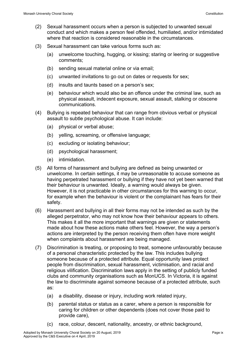- (2) Sexual harassment occurs when a person is subjected to unwanted sexual conduct and which makes a person feel offended, humiliated, and/or intimidated where that reaction is considered reasonable in the circumstances.
- (3) Sexual harassment can take various forms such as:
	- (a) unwelcome touching, hugging, or kissing; staring or leering or suggestive comments;
	- (b) sending sexual material online or via email;
	- (c) unwanted invitations to go out on dates or requests for sex;
	- (d) insults and taunts based on a person's sex;
	- (e) behaviour which would also be an offence under the criminal law, such as physical assault, indecent exposure, sexual assault, stalking or obscene communications.
- (4) Bullying is repeated behaviour that can range from obvious verbal or physical assault to subtle psychological abuse. It can include:
	- (a) physical or verbal abuse;
	- (b) yelling, screaming, or offensive language;
	- (c) excluding or isolating behaviour;
	- (d) psychological harassment;
	- (e) intimidation.
- (5) All forms of harassment and bullying are defined as being unwanted or unwelcome. In certain settings, it may be unreasonable to accuse someone as having perpetrated harassment or bullying if they have not yet been warned that their behaviour is unwanted. Ideally, a warning would always be given. However, it is not practicable in other circumstances for this warning to occur, for example when the behaviour is violent or the complainant has fears for their safety.
- (6) Harassment and bullying in all their forms may not be intended as such by the alleged perpetrator, who may not know how their behaviour appears to others. This makes it all the more important that warnings are given or statements made about how these actions make others feel. However, the way a person's actions are interpreted by the person receiving them often have more weight when complaints about harassment are being managed.
- (7) Discrimination is treating, or proposing to treat, someone unfavourably because of a personal characteristic protected by the law. This includes bullying someone because of a protected attribute. Equal opportunity laws protect people from discrimination, sexual harassment, victimisation, and racial and religious vilification. Discrimination laws apply in the setting of publicly funded clubs and community organisations such as MonUCS. In Victoria, it is against the law to discriminate against someone because of a protected attribute, such as:
	- (a) a disability, disease or injury, including work related injury,
	- (b) parental status or status as a carer, where a person is responsible for caring for children or other dependents (does not cover those paid to provide care),
	- (c) race, colour, descent, nationality, ancestry, or ethnic background,